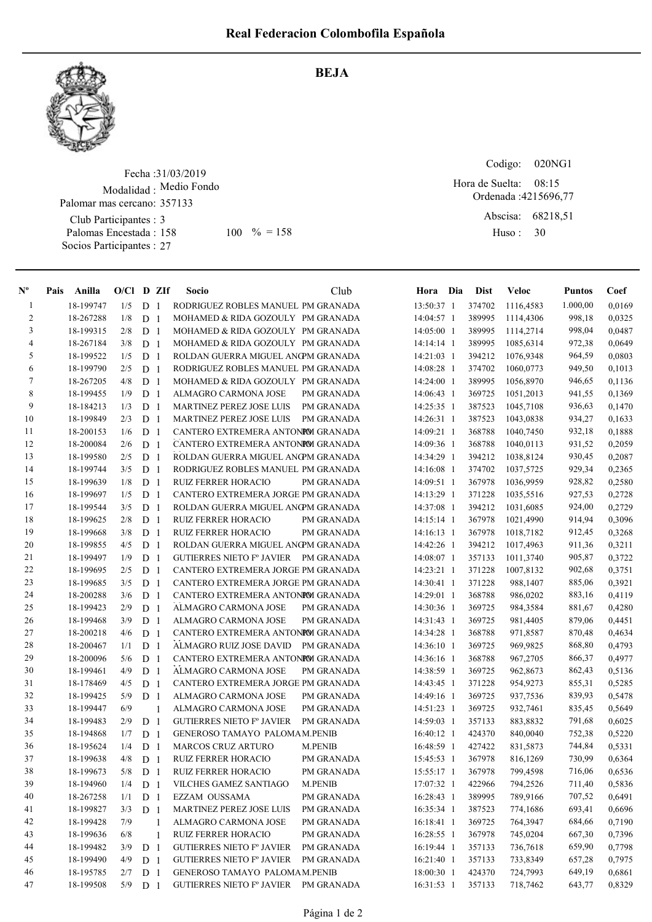

## BEJA

Fecha : 31/03/2019 Modalidad : Medio Fondo Club Participantes : 3 Palomas Encestada : Socios Participantes : 27 Palomar mas cercano: 357133 158 100 % = 158 Huso: 30

Codigo: Ordenada : 4215696,77 Abscisa: 68218,51 Huso : 020NG1 08:15 Hora de Suelta:

| $N^{\circ}$    | Pais | Anilla    | $O/Cl$ D ZIf |                |                | Socio                                | Club              | Hora Dia     | Dist   | <b>Veloc</b> | <b>Puntos</b> | Coef   |
|----------------|------|-----------|--------------|----------------|----------------|--------------------------------------|-------------------|--------------|--------|--------------|---------------|--------|
| $\mathbf{1}$   |      | 18-199747 | 1/5          | D              | -1             | RODRIGUEZ ROBLES MANUEL PM GRANADA   |                   | 13:50:37 1   | 374702 | 1116,4583    | 1.000,00      | 0,0169 |
| $\overline{2}$ |      | 18-267288 | 1/8          | D              | -1             | MOHAMED & RIDA GOZOULY PM GRANADA    |                   | 14:04:57 1   | 389995 | 1114,4306    | 998,18        | 0,0325 |
| 3              |      | 18-199315 | 2/8          | D              | -1             | MOHAMED & RIDA GOZOULY PM GRANADA    |                   | 14:05:00 1   | 389995 | 1114,2714    | 998,04        | 0,0487 |
| 4              |      | 18-267184 | 3/8          | D <sub>1</sub> |                | MOHAMED & RIDA GOZOULY PM GRANADA    |                   | $14:14:14$ 1 | 389995 | 1085,6314    | 972,38        | 0,0649 |
| 5              |      | 18-199522 | 1/5          | D <sub>1</sub> |                | ROLDAN GUERRA MIGUEL ANG MGRANADA    |                   | 14:21:03 1   | 394212 | 1076,9348    | 964,59        | 0,0803 |
| 6              |      | 18-199790 | 2/5          | D <sub>1</sub> |                | RODRIGUEZ ROBLES MANUEL PM GRANADA   |                   | 14:08:28 1   | 374702 | 1060,0773    | 949,50        | 0,1013 |
| 7              |      | 18-267205 | 4/8          | D              | -1             | MOHAMED & RIDA GOZOULY PM GRANADA    |                   | 14:24:00 1   | 389995 | 1056,8970    | 946,65        | 0,1136 |
| $\,8\,$        |      | 18-199455 | 1/9          | D              | -1             | ALMAGRO CARMONA JOSE                 | PM GRANADA        | 14:06:43 1   | 369725 | 1051,2013    | 941,55        | 0,1369 |
| 9              |      | 18-184213 | 1/3          | D              | -1             | <b>MARTINEZ PEREZ JOSE LUIS</b>      | PM GRANADA        | 14:25:35 1   | 387523 | 1045,7108    | 936,63        | 0,1470 |
| 10             |      | 18-199849 | 2/3          | D              | -1             | MARTINEZ PEREZ JOSE LUIS             | <b>PM GRANADA</b> | 14:26:31 1   | 387523 | 1043,0838    | 934,27        | 0,1633 |
| 11             |      | 18-200153 | 1/6          | D              | -1             | CANTERO EXTREMERA ANTONIOM GRANADA   |                   | 14:09:21 1   | 368788 | 1040,7450    | 932,18        | 0,1888 |
| 12             |      | 18-200084 | 2/6          | D              | $\overline{1}$ | CANTERO EXTREMERA ANTONIOM GRANADA   |                   | 14:09:36 1   | 368788 | 1040,0113    | 931,52        | 0,2059 |
| 13             |      | 18-199580 | 2/5          | D              | -1             | ROLDAN GUERRA MIGUEL ANCPM GRANADA   |                   | 14:34:29 1   | 394212 | 1038,8124    | 930,45        | 0,2087 |
| 14             |      | 18-199744 | 3/5          | D              | -1             | RODRIGUEZ ROBLES MANUEL PM GRANADA   |                   | 14:16:08 1   | 374702 | 1037,5725    | 929,34        | 0,2365 |
| 15             |      | 18-199639 | 1/8          | D              | $\mathbf{1}$   | <b>RUIZ FERRER HORACIO</b>           | PM GRANADA        | 14:09:51 1   | 367978 | 1036,9959    | 928,82        | 0,2580 |
| 16             |      | 18-199697 | 1/5          | D <sub>1</sub> |                | CANTERO EXTREMERA JORGE PM GRANADA   |                   | 14:13:29 1   | 371228 | 1035,5516    | 927,53        | 0,2728 |
| 17             |      | 18-199544 | 3/5          | D <sub>1</sub> |                | ROLDAN GUERRA MIGUEL ANCPM GRANADA   |                   | 14:37:08 1   | 394212 | 1031,6085    | 924,00        | 0,2729 |
| 18             |      | 18-199625 | 2/8          | D <sub>1</sub> |                | <b>RUIZ FERRER HORACIO</b>           | PM GRANADA        | 14:15:14 1   | 367978 | 1021,4990    | 914,94        | 0,3096 |
| 19             |      | 18-199668 | 3/8          | D <sub>1</sub> |                | <b>RUIZ FERRER HORACIO</b>           | PM GRANADA        | 14:16:13 1   | 367978 | 1018,7182    | 912,45        | 0,3268 |
| 20             |      | 18-199855 | 4/5          | D              | -1             | ROLDAN GUERRA MIGUEL ANG MGRANADA    |                   | 14:42:26 1   | 394212 | 1017,4963    | 911,36        | 0,3211 |
| 21             |      | 18-199497 | 1/9          | D              | -1             | GUTIERRES NIETO Fº JAVIER PM GRANADA |                   | 14:08:07 1   | 357133 | 1011,3740    | 905,87        | 0,3722 |
| $22\,$         |      | 18-199695 | 2/5          | D              | -1             | CANTERO EXTREMERA JORGE PM GRANADA   |                   | 14:23:21 1   | 371228 | 1007,8132    | 902,68        | 0,3751 |
| 23             |      | 18-199685 | 3/5          | D              | -1             | CANTERO EXTREMERA JORGE PM GRANADA   |                   | 14:30:41 1   | 371228 | 988,1407     | 885,06        | 0,3921 |
| 24             |      | 18-200288 | 3/6          | D              | $\overline{1}$ | CANTERO EXTREMERA ANTONIM GRANADA    |                   | 14:29:01 1   | 368788 | 986,0202     | 883,16        | 0,4119 |
| 25             |      | 18-199423 | 2/9          | D              | $\overline{1}$ | ALMAGRO CARMONA JOSE                 | PM GRANADA        | 14:30:36 1   | 369725 | 984,3584     | 881,67        | 0,4280 |
| 26             |      | 18-199468 | 3/9          | D              | -1             | ALMAGRO CARMONA JOSE                 | PM GRANADA        | 14:31:43 1   | 369725 | 981,4405     | 879,06        | 0,4451 |
| 27             |      | 18-200218 | 4/6          | D              | $\overline{1}$ | CANTERO EXTREMERA ANTONIOM GRANADA   |                   | 14:34:28 1   | 368788 | 971,8587     | 870,48        | 0,4634 |
| 28             |      | 18-200467 | 1/1          | D              | -1             | ALMAGRO RUIZ JOSE DAVID              | PM GRANADA        | 14:36:10 1   | 369725 | 969,9825     | 868,80        | 0,4793 |
| 29             |      | 18-200096 | 5/6          | D <sub>1</sub> |                | CANTERO EXTREMERA ANTONIOM GRANADA   |                   | 14:36:16 1   | 368788 | 967,2705     | 866,37        | 0,4977 |
| 30             |      | 18-199461 | 4/9          | D <sub>1</sub> |                | ALMAGRO CARMONA JOSE                 | PM GRANADA        | 14:38:59 1   | 369725 | 962,8673     | 862,43        | 0,5136 |
| 31             |      | 18-178469 | 4/5          | D <sub>1</sub> |                | CANTERO EXTREMERA JORGE PM GRANADA   |                   | 14:43:45 1   | 371228 | 954,9273     | 855,31        | 0,5285 |
| 32             |      | 18-199425 | 5/9          | D              | -1             | ALMAGRO CARMONA JOSE                 | PM GRANADA        | 14:49:16 1   | 369725 | 937,7536     | 839,93        | 0,5478 |
| 33             |      | 18-199447 | 6/9          |                | $\mathbf{1}$   | ALMAGRO CARMONA JOSE                 | PM GRANADA        | 14:51:23 1   | 369725 | 932,7461     | 835,45        | 0,5649 |
| 34             |      | 18-199483 | 2/9          | D              | -1             | <b>GUTIERRES NIETO Fº JAVIER</b>     | PM GRANADA        | 14:59:03 1   | 357133 | 883,8832     | 791,68        | 0,6025 |
| 35             |      | 18-194868 | 1/7          | D              | -1             | <b>GENEROSO TAMAYO PALOMAM.PENIB</b> |                   | 16:40:12 1   | 424370 | 840,0040     | 752,38        | 0,5220 |
| 36             |      | 18-195624 | 1/4          | D              | $\overline{1}$ | <b>MARCOS CRUZ ARTURO</b>            | <b>M.PENIB</b>    | 16:48:59 1   | 427422 | 831,5873     | 744,84        | 0,5331 |
| 37             |      | 18-199638 | 4/8          | D              | $\overline{1}$ | <b>RUIZ FERRER HORACIO</b>           | PM GRANADA        | 15:45:53 1   | 367978 | 816,1269     | 730,99        | 0,6364 |
| 38             |      | 18-199673 | 5/8          | D 1            |                | RUIZ FERRER HORACIO                  | PM GRANADA        | 15:55:17 1   | 367978 | 799,4598     | 716,06        | 0,6536 |
| 39             |      | 18-194960 | 1/4          | D <sub>1</sub> |                | VILCHES GAMEZ SANTIAGO               | M.PENIB           | 17:07:32 1   | 422966 | 794,2526     | 711,40        | 0,5836 |
| 40             |      | 18-267258 | 1/1          | D <sub>1</sub> |                | EZZAM OUSSAMA                        | PM GRANADA        | 16:28:43 1   | 389995 | 789,9166     | 707,52        | 0,6491 |
| 41             |      | 18-199827 | 3/3          | D <sub>1</sub> |                | MARTINEZ PEREZ JOSE LUIS             | PM GRANADA        | 16:35:34 1   | 387523 | 774,1686     | 693,41        | 0,6696 |
| 42             |      | 18-199428 | 7/9          |                | 1              | ALMAGRO CARMONA JOSE                 | PM GRANADA        | 16:18:41 1   | 369725 | 764,3947     | 684,66        | 0,7190 |
| 43             |      | 18-199636 | 6/8          |                | 1              | RUIZ FERRER HORACIO                  | PM GRANADA        | 16:28:55 1   | 367978 | 745,0204     | 667,30        | 0,7396 |
| 44             |      | 18-199482 | 3/9          | D <sub>1</sub> |                | <b>GUTIERRES NIETO Fº JAVIER</b>     | PM GRANADA        | 16:19:44 1   | 357133 | 736,7618     | 659,90        | 0,7798 |
| 45             |      | 18-199490 | 4/9          | D <sub>1</sub> |                | <b>GUTIERRES NIETO Fº JAVIER</b>     | PM GRANADA        | 16:21:40 1   | 357133 | 733,8349     | 657,28        | 0,7975 |
| 46             |      | 18-195785 | 2/7          | D <sub>1</sub> |                | GENEROSO TAMAYO PALOMAM.PENIB        |                   | 18:00:30 1   | 424370 | 724,7993     | 649,19        | 0,6861 |
| 47             |      | 18-199508 | 5/9          | D <sub>1</sub> |                | GUTIERRES NIETO Fº JAVIER PM GRANADA |                   | 16:31:53 1   | 357133 | 718,7462     | 643,77        | 0,8329 |